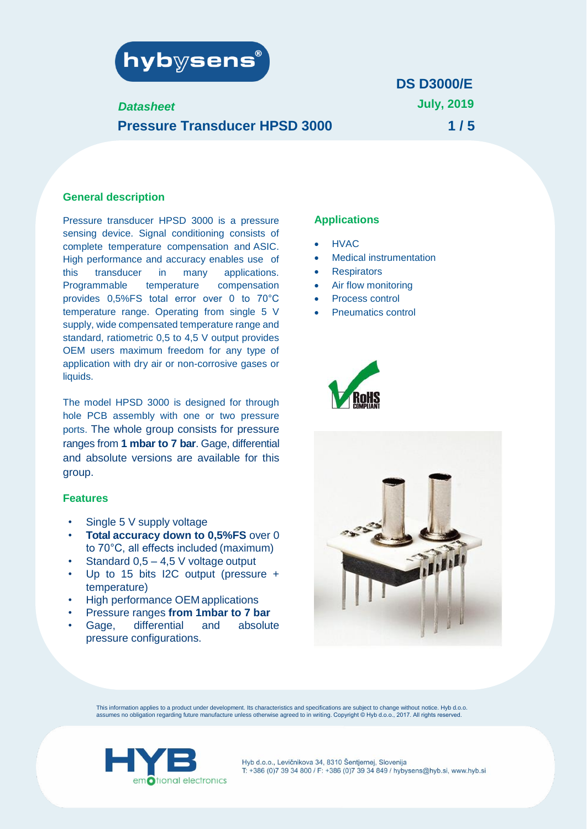

# *Datasheet* **Pressure Transducer HPSD 3000**

# **July, 2019 1 / 5 DS D3000/E**

#### **General description**

Pressure transducer HPSD 3000 is a pressure sensing device. Signal conditioning consists of complete temperature compensation and ASIC. High performance and accuracy enables use of this transducer in many applications. Programmable temperature compensation provides 0,5%FS total error over 0 to 70°C temperature range. Operating from single 5 V supply, wide compensated temperature range and standard, ratiometric 0,5 to 4,5 V output provides OEM users maximum freedom for any type of application with dry air or non-corrosive gases or liquids.

The model HPSD 3000 is designed for through hole PCB assembly with one or two pressure ports. The whole group consists for pressure ranges from **1 mbar to 7 bar**. Gage, differential and absolute versions are available for this group.

#### **Features**

- Single 5 V supply voltage
- **Total accuracy down to 0,5%FS** over 0 to 70°C, all effects included (maximum)
- Standard  $0,5 4,5$  V voltage output
- Up to 15 bits I2C output (pressure + temperature)
- High performance OEM applications
- Pressure ranges **from 1mbar to 7 bar**
- Gage, differential and absolute pressure configurations.

#### **Applications**

- HVAC
- **Medical instrumentation**
- **Respirators**
- Air flow monitoring
- Process control
- Pneumatics control





This information applies to a product under development. Its characteristics and specifications are subject to change without notice. Hyb d.o.o. assumes no obligation regarding future manufacture unless otherwise agreed to in writing. Copyright © Hyb d.o.o., 2017. All rights reserved.

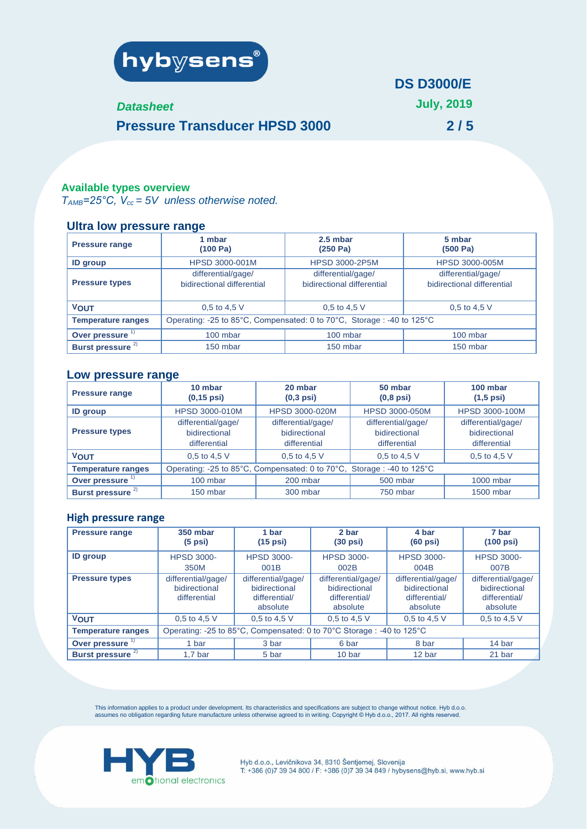

### *Datasheet*

**July, 2019**

**2 / 5**

# **Pressure Transducer HPSD 3000**

#### **Available types overview**

 $T_{AMB}$ =25°C,  $V_{cc}$  = 5V unless otherwise noted.

## **Ultra low pressure range**

| <b>Pressure range</b>        | 1 mbar<br>(100 Pa)                                                    | 2.5 mbar<br>(250 Pa)                             | 5 mbar<br>(500 Pa)                               |  |
|------------------------------|-----------------------------------------------------------------------|--------------------------------------------------|--------------------------------------------------|--|
| <b>ID</b> group              | HPSD 3000-001M                                                        | <b>HPSD 3000-2P5M</b>                            | HPSD 3000-005M                                   |  |
| <b>Pressure types</b>        | differential/gage/<br>bidirectional differential                      | differential/gage/<br>bidirectional differential | differential/gage/<br>bidirectional differential |  |
| <b>VOUT</b>                  | 0.5 to 4.5 V                                                          | 0.5 to 4.5 V                                     | 0.5 to 4.5 $V$                                   |  |
| <b>Temperature ranges</b>    | Operating: -25 to 85°C, Compensated: 0 to 70°C, Storage: -40 to 125°C |                                                  |                                                  |  |
| Over pressure <sup>1)</sup>  | 100 mbar                                                              | 100 mbar                                         | 100 mbar                                         |  |
| Burst pressure <sup>2)</sup> | 150 mbar                                                              | 150 mbar                                         | 150 mbar                                         |  |

#### **Low pressure range**

| <b>Pressure range</b>       | 10 mbar<br>$(0, 15 \text{ psi})$                                      | 20 mbar<br>$(0,3$ psi)                              | 50 mbar<br>$(0,8$ psi $)$                           | 100 mbar<br>$(1,5$ psi)                             |
|-----------------------------|-----------------------------------------------------------------------|-----------------------------------------------------|-----------------------------------------------------|-----------------------------------------------------|
| <b>ID</b> group             | <b>HPSD 3000-010M</b>                                                 | <b>HPSD 3000-020M</b>                               | <b>HPSD 3000-050M</b>                               | <b>HPSD 3000-100M</b>                               |
| <b>Pressure types</b>       | differential/gage/<br>bidirectional<br>differential                   | differential/gage/<br>bidirectional<br>differential | differential/gage/<br>bidirectional<br>differential | differential/gage/<br>bidirectional<br>differential |
| <b>VOUT</b>                 | 0,5 to 4,5 $V$                                                        | 0.5 to 4.5 V                                        | 0.5 to 4.5 V                                        | 0.5 to 4.5 $V$                                      |
| <b>Temperature ranges</b>   | Operating: -25 to 85°C, Compensated: 0 to 70°C, Storage: -40 to 125°C |                                                     |                                                     |                                                     |
| Over pressure               | 100 mbar                                                              | 200 mbar                                            | 500 mbar                                            | $1000$ mbar                                         |
| Burst pressure <sup>2</sup> | 150 mbar                                                              | 300 mbar                                            | 750 mbar                                            | 1500 mbar                                           |

#### **High pressure range**

| <b>Pressure range</b>        | <b>350 mbar</b><br>$(5$ psi $)$                                      | 1 bar<br>$(15$ psi $)$                                           | 2 bar<br>$(30 \text{ psi})$                                      | 4 bar<br>$(60 \text{ psi})$                                      | 7 bar<br>$(100 \text{ psi})$                                     |
|------------------------------|----------------------------------------------------------------------|------------------------------------------------------------------|------------------------------------------------------------------|------------------------------------------------------------------|------------------------------------------------------------------|
| <b>ID</b> group              | <b>HPSD 3000-</b><br>350M                                            | <b>HPSD 3000-</b><br>001B                                        | <b>HPSD 3000-</b><br>002B                                        | <b>HPSD 3000-</b><br>004B                                        | <b>HPSD 3000-</b><br>007B                                        |
| <b>Pressure types</b>        | differential/gage/<br>bidirectional<br>differential                  | differential/gage/<br>bidirectional<br>differential/<br>absolute | differential/gage/<br>bidirectional<br>differential/<br>absolute | differential/gage/<br>bidirectional<br>differential/<br>absolute | differential/gage/<br>bidirectional<br>differential/<br>absolute |
| <b>VOUT</b>                  | 0.5 to 4.5 V                                                         | 0.5 to 4.5 V                                                     | 0.5 to 4.5 V                                                     | 0.5 to 4.5 $V$                                                   | 0.5 to 4.5 V                                                     |
| <b>Temperature ranges</b>    | Operating: -25 to 85°C, Compensated: 0 to 70°C Storage: -40 to 125°C |                                                                  |                                                                  |                                                                  |                                                                  |
| Over pressure <sup>17</sup>  | 1 bar                                                                | 3 bar                                                            | 6 bar                                                            | 8 bar                                                            | 14 bar                                                           |
| Burst pressure <sup>2)</sup> | 1.7 <sub>bar</sub>                                                   | 5 bar                                                            | 10 bar                                                           | 12 bar                                                           | 21 bar                                                           |

This information applies to a product under development. Its characteristics and specifications are subject to change without notice. Hyb d.o.o.<br>assumes no obligation regarding future manufacture unless otherwise agreed t

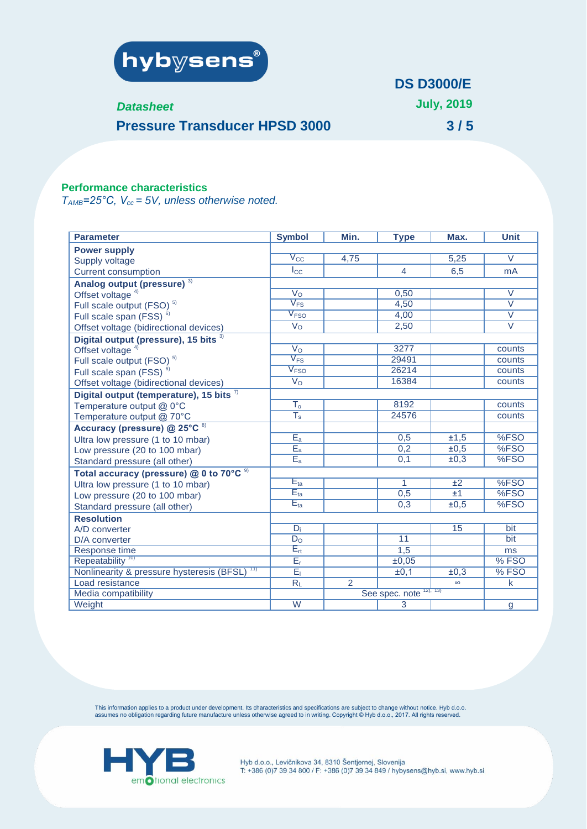

### *Datasheet*

**July, 2019**

**3 / 5**

**Pressure Transducer HPSD 3000**

## **Performance characteristics**

*TAMB=25°C, Vcc = 5V, unless otherwise noted.*

| <b>Parameter</b>                                         | <b>Symbol</b>                        | Min.           | <b>Type</b>     | Max.     | <b>Unit</b>       |
|----------------------------------------------------------|--------------------------------------|----------------|-----------------|----------|-------------------|
| <b>Power supply</b>                                      |                                      |                |                 |          |                   |
| Supply voltage                                           | $\sqrt{C}$                           | 4,75           |                 | 5,25     | $\overline{V}$    |
| <b>Current consumption</b>                               | $I_{\rm CC}$                         |                | $\overline{4}$  | 6,5      | <b>mA</b>         |
| Analog output (pressure) <sup>3)</sup>                   |                                      |                |                 |          |                   |
| Offset voltage <sup>4)</sup>                             | V <sub>O</sub>                       |                | 0,50            |          | $\vee$            |
| Full scale output (FSO) <sup>5)</sup>                    | $\overline{V_{FS}}$                  |                | 4,50            |          | $\overline{\vee}$ |
| Full scale span (FSS) <sup>6)</sup>                      | $\sqrt{F}$ so                        |                | 4,00            |          | $\overline{\vee}$ |
| Offset voltage (bidirectional devices)                   | $\overline{V_O}$                     |                | 2,50            |          | $\overline{\vee}$ |
| Digital output (pressure), 15 bits 3)                    |                                      |                |                 |          |                   |
| Offset voltage <sup>4)</sup>                             | $V_{\rm O}$                          |                | 3277            |          | counts            |
| Full scale output (FSO) <sup>5)</sup>                    | $V_{FS}$                             |                | 29491           |          | counts            |
| Full scale span (FSS) <sup>6)</sup>                      | $\rm V_{FSO}$                        |                | 26214           |          | counts            |
| Offset voltage (bidirectional devices)                   | $\overline{V_{O}}$                   |                | 16384           |          | counts            |
| Digital output (temperature), 15 bits $\frac{7}{2}$      |                                      |                |                 |          |                   |
| Temperature output @ 0°C                                 | $\overline{\mathsf{T_o}}$            |                | 8192            |          | counts            |
| Temperature output @ 70°C                                | $\overline{\mathsf{T}_{\mathsf{s}}}$ |                | 24576           |          | counts            |
| Accuracy (pressure) @ 25°C 8)                            |                                      |                |                 |          |                   |
| Ultra low pressure (1 to 10 mbar)                        | $E_a$                                |                | 0,5             | ±1,5     | %FSO              |
| Low pressure (20 to 100 mbar)                            | $\overline{E_a}$                     |                | 0,2             | ±0,5     | %FSO              |
| Standard pressure (all other)                            | $E_a$                                |                | 0,1             | ±0,3     | %FSO              |
| Total accuracy (pressure) @ 0 to 70°C <sup>9)</sup>      |                                      |                |                 |          |                   |
| Ultra low pressure (1 to 10 mbar)                        | $E_{ta}$                             |                | $\mathbf{1}$    | ±2       | %FSO              |
| Low pressure (20 to 100 mbar)                            | $E_{ta}$                             |                | 0,5             | ±1       | %FSO              |
| Standard pressure (all other)                            | $E_{ta}$                             |                | 0,3             | ±0,5     | %FSO              |
| <b>Resolution</b>                                        |                                      |                |                 |          |                   |
| A/D converter                                            | $D_i$                                |                |                 | 15       | bit               |
| D/A converter                                            | D <sub>O</sub>                       |                | $\overline{11}$ |          | bit               |
| Response time                                            | $E_{rt}$                             |                | 1,5             |          | ms                |
| Repeatability <sup>10</sup>                              | $E_r$                                |                | ±0,05           |          | %FSO              |
| Nonlinearity & pressure hysteresis (BFSL) <sup>11)</sup> | $E_1$                                |                | ±0,1            | ±0,3     | %FSO              |
| Load resistance                                          | $R_L$                                | $\overline{2}$ |                 | $\infty$ | $\mathsf{k}$      |
| Media compatibility                                      | 12, 13<br>See spec. note             |                |                 |          |                   |
| Weight                                                   | $\overline{W}$                       |                | 3               |          | g                 |

This information applies to a product under development. Its characteristics and specifications are subject to change without notice. Hyb d.o.o.<br>assumes no obligation regarding future manufacture unless otherwise agreed t

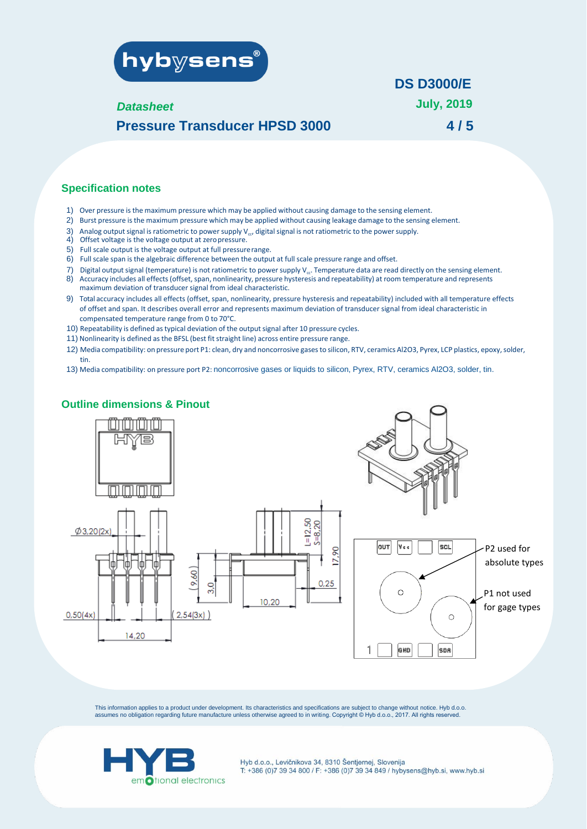

#### *Datasheet*

**July, 2019 4 / 5**

# **Pressure Transducer HPSD 3000**

#### **Specification notes**

- 1) Over pressure is the maximum pressure which may be applied without causing damage to the sensing element.
- 2) Burst pressure isthe maximum pressure which may be applied without causing leakage damage to the sensing element.
- 3) Analog output signal is ratiometric to power supply V<sub>cc</sub>, digital signal is not ratiometric to the power supply.
- 4) Offset voltage is the voltage output at zeropressure.
- 5) Full scale output is the voltage output at full pressurerange.
- 6) Full scale span is the algebraic difference between the output at full scale pressure range and offset.
- 7) Digital output signal (temperature) is not ratiometric to power supply  $V_{cc}$ . Temperature data are read directly on the sensing element.
- 8) Accuracy includes all effects(offset,span, nonlinearity, pressure hysteresis and repeatability) at room temperature and represents maximum deviation of transducer signal from ideal characteristic.
- 9) Total accuracy includes all effects (offset, span, nonlinearity, pressure hysteresis and repeatability) included with all temperature effects of offset and span. It describes overall error and represents maximum deviation of transducer signal from ideal characteristic in compensated temperature range from 0 to 70°C.
- 10) Repeatability is defined as typical deviation of the output signal after 10 pressure cycles.
- 11) Nonlinearity is defined as the BFSL (best fit straight line) across entire pressure range.
- 12) Media compatibility: on pressure port P1: clean, dry and noncorrosive gases to silicon, RTV, ceramics Al2O3, Pyrex, LCP plastics, epoxy, solder, tin.
- 13) Media compatibility: on pressure port P2: noncorrosive gases or liquids to silicon, Pyrex, RTV, ceramics Al2O3, solder, tin.

### **Outline dimensions & Pinout**



This information applies to a product under development. Its characteristics and specifications are subject to change without notice. Hyb d.o.o. assumes no obligation regarding future manufacture unless otherwise agreed to in writing. Copyright © Hyb d.o.o., 2017. All rights reserved.